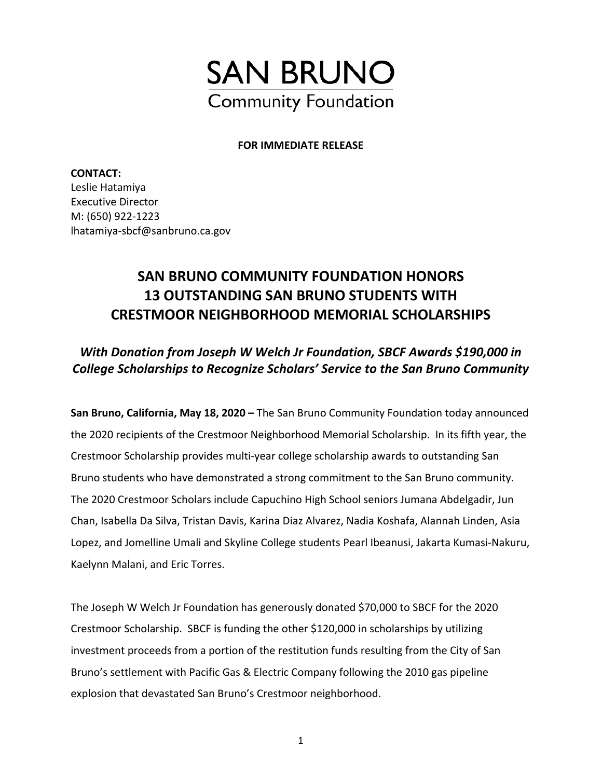

#### **FOR IMMEDIATE RELEASE**

**CONTACT:**  Leslie Hatamiya Executive Director M: (650) 922-1223 lhatamiya-sbcf@sanbruno.ca.gov

# **SAN BRUNO COMMUNITY FOUNDATION HONORS 13 OUTSTANDING SAN BRUNO STUDENTS WITH CRESTMOOR NEIGHBORHOOD MEMORIAL SCHOLARSHIPS**

### *With Donation from Joseph W Welch Jr Foundation, SBCF Awards \$190,000 in College Scholarships to Recognize Scholars' Service to the San Bruno Community*

**San Bruno, California, May 18, 2020 –** The San Bruno Community Foundation today announced the 2020 recipients of the Crestmoor Neighborhood Memorial Scholarship. In its fifth year, the Crestmoor Scholarship provides multi-year college scholarship awards to outstanding San Bruno students who have demonstrated a strong commitment to the San Bruno community. The 2020 Crestmoor Scholars include Capuchino High School seniors Jumana Abdelgadir, Jun Chan, Isabella Da Silva, Tristan Davis, Karina Diaz Alvarez, Nadia Koshafa, Alannah Linden, Asia Lopez, and Jomelline Umali and Skyline College students Pearl Ibeanusi, Jakarta Kumasi-Nakuru, Kaelynn Malani, and Eric Torres.

The Joseph W Welch Jr Foundation has generously donated \$70,000 to SBCF for the 2020 Crestmoor Scholarship. SBCF is funding the other \$120,000 in scholarships by utilizing investment proceeds from a portion of the restitution funds resulting from the City of San Bruno's settlement with Pacific Gas & Electric Company following the 2010 gas pipeline explosion that devastated San Bruno's Crestmoor neighborhood.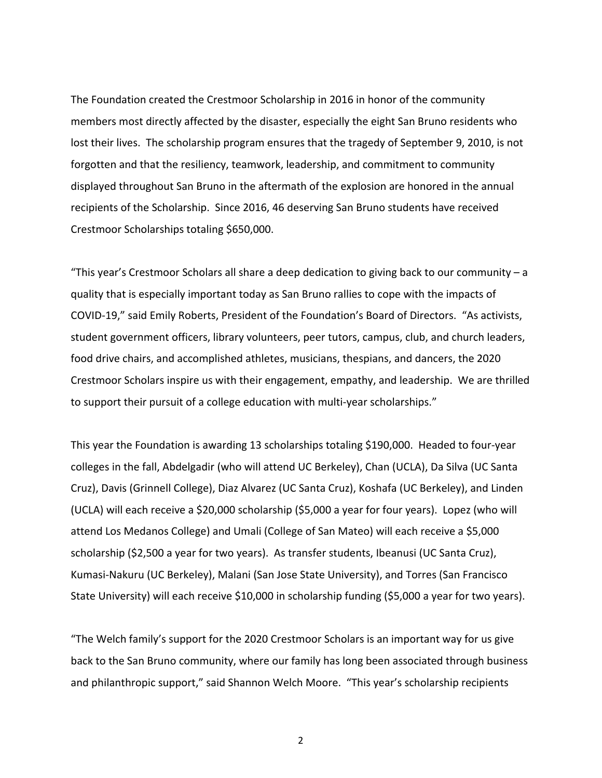The Foundation created the Crestmoor Scholarship in 2016 in honor of the community members most directly affected by the disaster, especially the eight San Bruno residents who lost their lives. The scholarship program ensures that the tragedy of September 9, 2010, is not forgotten and that the resiliency, teamwork, leadership, and commitment to community displayed throughout San Bruno in the aftermath of the explosion are honored in the annual recipients of the Scholarship. Since 2016, 46 deserving San Bruno students have received Crestmoor Scholarships totaling \$650,000.

"This year's Crestmoor Scholars all share a deep dedication to giving back to our community  $-a$ quality that is especially important today as San Bruno rallies to cope with the impacts of COVID-19," said Emily Roberts, President of the Foundation's Board of Directors. "As activists, student government officers, library volunteers, peer tutors, campus, club, and church leaders, food drive chairs, and accomplished athletes, musicians, thespians, and dancers, the 2020 Crestmoor Scholars inspire us with their engagement, empathy, and leadership. We are thrilled to support their pursuit of a college education with multi-year scholarships."

This year the Foundation is awarding 13 scholarships totaling \$190,000. Headed to four-year colleges in the fall, Abdelgadir (who will attend UC Berkeley), Chan (UCLA), Da Silva (UC Santa Cruz), Davis (Grinnell College), Diaz Alvarez (UC Santa Cruz), Koshafa (UC Berkeley), and Linden (UCLA) will each receive a \$20,000 scholarship (\$5,000 a year for four years). Lopez (who will attend Los Medanos College) and Umali (College of San Mateo) will each receive a \$5,000 scholarship (\$2,500 a year for two years). As transfer students, Ibeanusi (UC Santa Cruz), Kumasi-Nakuru (UC Berkeley), Malani (San Jose State University), and Torres (San Francisco State University) will each receive \$10,000 in scholarship funding (\$5,000 a year for two years).

"The Welch family's support for the 2020 Crestmoor Scholars is an important way for us give back to the San Bruno community, where our family has long been associated through business and philanthropic support," said Shannon Welch Moore. "This year's scholarship recipients

2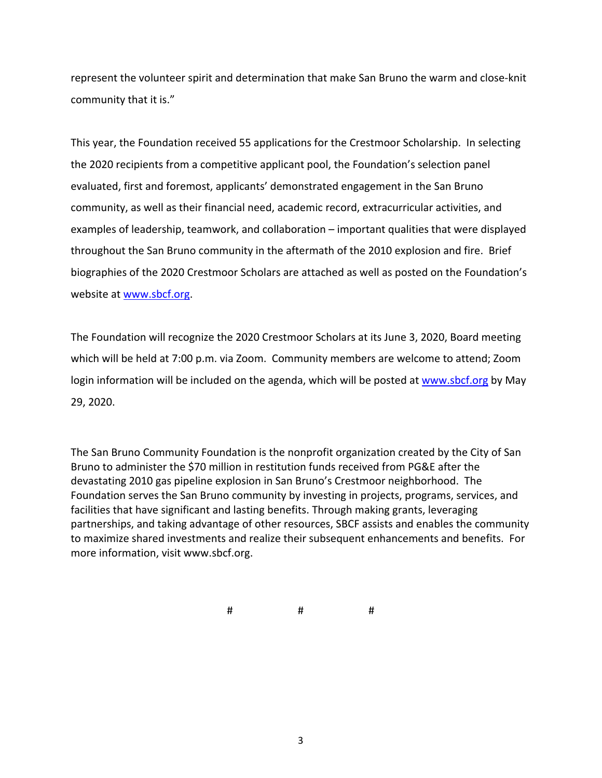represent the volunteer spirit and determination that make San Bruno the warm and close-knit community that it is."

This year, the Foundation received 55 applications for the Crestmoor Scholarship. In selecting the 2020 recipients from a competitive applicant pool, the Foundation's selection panel evaluated, first and foremost, applicants' demonstrated engagement in the San Bruno community, as well as their financial need, academic record, extracurricular activities, and examples of leadership, teamwork, and collaboration – important qualities that were displayed throughout the San Bruno community in the aftermath of the 2010 explosion and fire. Brief biographies of the 2020 Crestmoor Scholars are attached as well as posted on the Foundation's website at [www.sbcf.org.](http://www.sbcf.org/)

The Foundation will recognize the 2020 Crestmoor Scholars at its June 3, 2020, Board meeting which will be held at 7:00 p.m. via Zoom. Community members are welcome to attend; Zoom login information will be included on the agenda, which will be posted at [www.sbcf.org](http://www.sbcf.org/) by May 29, 2020.

The San Bruno Community Foundation is the nonprofit organization created by the City of San Bruno to administer the \$70 million in restitution funds received from PG&E after the devastating 2010 gas pipeline explosion in San Bruno's Crestmoor neighborhood. The Foundation serves the San Bruno community by investing in projects, programs, services, and facilities that have significant and lasting benefits. Through making grants, leveraging partnerships, and taking advantage of other resources, SBCF assists and enables the community to maximize shared investments and realize their subsequent enhancements and benefits. For more information, visit www.sbcf.org.

# # #